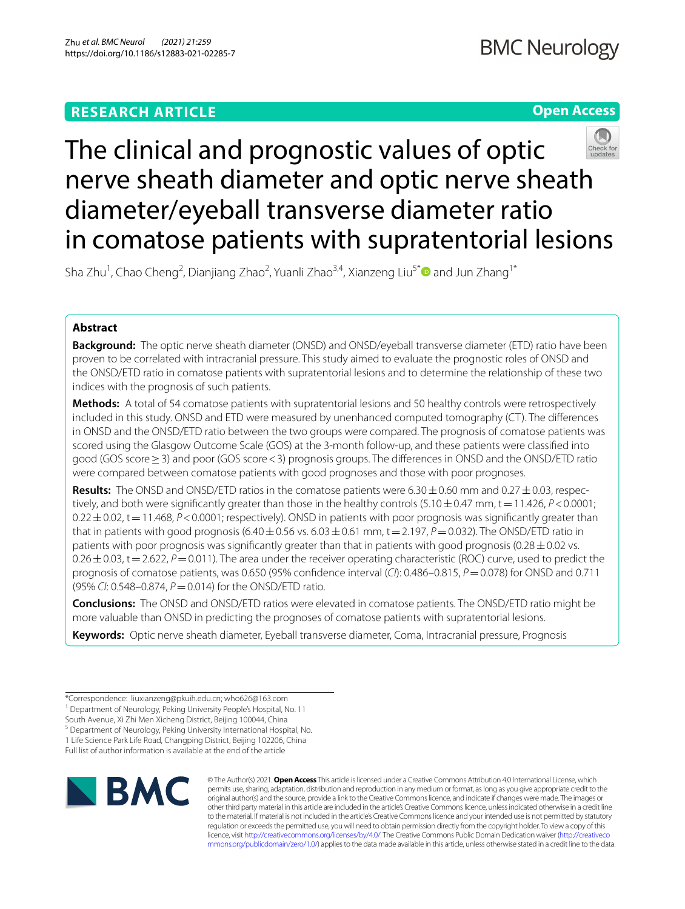# **Open Access**



# The clinical and prognostic values of optic nerve sheath diameter and optic nerve sheath diameter/eyeball transverse diameter ratio in comatose patients with supratentorial lesions

Sha Zhu<sup>1</sup>, Chao Cheng<sup>2</sup>, Dianjiang Zhao<sup>2</sup>, Yuanli Zhao<sup>3,4</sup>, Xianzeng Liu<sup>5[\\*](http://orcid.org/0000-0003-3568-5401)</sup> and Jun Zhang<sup>1\*</sup>

# **Abstract**

**Background:** The optic nerve sheath diameter (ONSD) and ONSD/eyeball transverse diameter (ETD) ratio have been proven to be correlated with intracranial pressure. This study aimed to evaluate the prognostic roles of ONSD and the ONSD/ETD ratio in comatose patients with supratentorial lesions and to determine the relationship of these two indices with the prognosis of such patients.

**Methods:** A total of 54 comatose patients with supratentorial lesions and 50 healthy controls were retrospectively included in this study. ONSD and ETD were measured by unenhanced computed tomography (CT). The diferences in ONSD and the ONSD/ETD ratio between the two groups were compared. The prognosis of comatose patients was scored using the Glasgow Outcome Scale (GOS) at the 3-month follow-up, and these patients were classifed into good (GOS score≥3) and poor (GOS score<3) prognosis groups. The diferences in ONSD and the ONSD/ETD ratio were compared between comatose patients with good prognoses and those with poor prognoses.

**Results:** The ONSD and ONSD/ETD ratios in the comatose patients were  $6.30 \pm 0.60$  mm and  $0.27 \pm 0.03$ , respectively, and both were significantly greater than those in the healthy controls  $(5.10 \pm 0.47$  mm, t $=11.426$ ,  $P < 0.0001$ ;  $0.22 \pm 0.02$ , t = 11.468, *P* < 0.0001; respectively). ONSD in patients with poor prognosis was significantly greater than that in patients with good prognosis (6.40 $\pm$ 0.56 vs. 6.03 $\pm$ 0.61 mm, t=2.197, *P*=0.032). The ONSD/ETD ratio in patients with poor prognosis was significantly greater than that in patients with good prognosis (0.28 $\pm$ 0.02 vs.  $0.26\pm0.03$ ,  $t=2.622$ ,  $P=0.011$ ). The area under the receiver operating characteristic (ROC) curve, used to predict the prognosis of comatose patients, was 0.650 (95% confdence interval (*CI*): 0.486–0.815, *P*=0.078) for ONSD and 0.711 (95% *CI*: 0.548–0.874, *P*=0.014) for the ONSD/ETD ratio.

**Conclusions:** The ONSD and ONSD/ETD ratios were elevated in comatose patients. The ONSD/ETD ratio might be more valuable than ONSD in predicting the prognoses of comatose patients with supratentorial lesions.

**Keywords:** Optic nerve sheath diameter, Eyeball transverse diameter, Coma, Intracranial pressure, Prognosis

<sup>1</sup> Department of Neurology, Peking University People's Hospital, No. 11

South Avenue, Xi Zhi Men Xicheng District, Beijing 100044, China

<sup>5</sup> Department of Neurology, Peking University International Hospital, No. 1 Life Science Park Life Road, Changping District, Beijing 102206, China

Full list of author information is available at the end of the article



© The Author(s) 2021. **Open Access** This article is licensed under a Creative Commons Attribution 4.0 International License, which permits use, sharing, adaptation, distribution and reproduction in any medium or format, as long as you give appropriate credit to the original author(s) and the source, provide a link to the Creative Commons licence, and indicate if changes were made. The images or other third party material in this article are included in the article's Creative Commons licence, unless indicated otherwise in a credit line to the material. If material is not included in the article's Creative Commons licence and your intended use is not permitted by statutory regulation or exceeds the permitted use, you will need to obtain permission directly from the copyright holder. To view a copy of this licence, visit [http://creativecommons.org/licenses/by/4.0/.](http://creativecommons.org/licenses/by/4.0/) The Creative Commons Public Domain Dedication waiver ([http://creativeco](http://creativecommons.org/publicdomain/zero/1.0/) [mmons.org/publicdomain/zero/1.0/](http://creativecommons.org/publicdomain/zero/1.0/)) applies to the data made available in this article, unless otherwise stated in a credit line to the data.

<sup>\*</sup>Correspondence: liuxianzeng@pkuih.edu.cn; who626@163.com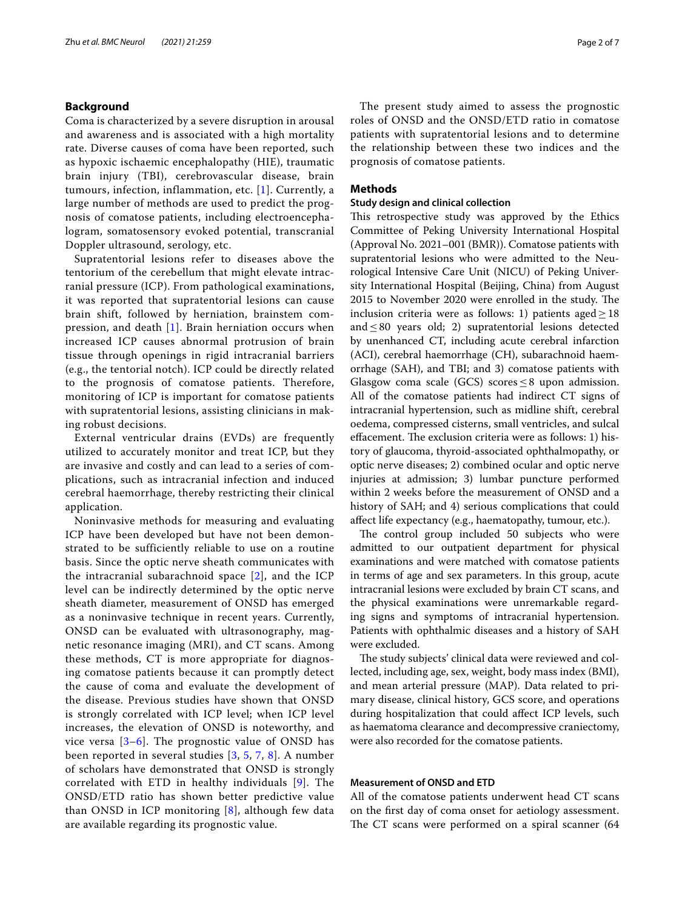#### **Background**

Coma is characterized by a severe disruption in arousal and awareness and is associated with a high mortality rate. Diverse causes of coma have been reported, such as hypoxic ischaemic encephalopathy (HIE), traumatic brain injury (TBI), cerebrovascular disease, brain tumours, infection, inflammation, etc. [\[1\]](#page-6-0). Currently, a large number of methods are used to predict the prognosis of comatose patients, including electroencephalogram, somatosensory evoked potential, transcranial Doppler ultrasound, serology, etc.

Supratentorial lesions refer to diseases above the tentorium of the cerebellum that might elevate intracranial pressure (ICP). From pathological examinations, it was reported that supratentorial lesions can cause brain shift, followed by herniation, brainstem compression, and death [[1\]](#page-6-0). Brain herniation occurs when increased ICP causes abnormal protrusion of brain tissue through openings in rigid intracranial barriers (e.g., the tentorial notch). ICP could be directly related to the prognosis of comatose patients. Therefore, monitoring of ICP is important for comatose patients with supratentorial lesions, assisting clinicians in making robust decisions.

External ventricular drains (EVDs) are frequently utilized to accurately monitor and treat ICP, but they are invasive and costly and can lead to a series of complications, such as intracranial infection and induced cerebral haemorrhage, thereby restricting their clinical application.

Noninvasive methods for measuring and evaluating ICP have been developed but have not been demonstrated to be sufficiently reliable to use on a routine basis. Since the optic nerve sheath communicates with the intracranial subarachnoid space [\[2](#page-6-1)], and the ICP level can be indirectly determined by the optic nerve sheath diameter, measurement of ONSD has emerged as a noninvasive technique in recent years. Currently, ONSD can be evaluated with ultrasonography, magnetic resonance imaging (MRI), and CT scans. Among these methods, CT is more appropriate for diagnosing comatose patients because it can promptly detect the cause of coma and evaluate the development of the disease. Previous studies have shown that ONSD is strongly correlated with ICP level; when ICP level increases, the elevation of ONSD is noteworthy, and vice versa  $[3-6]$  $[3-6]$  $[3-6]$ . The prognostic value of ONSD has been reported in several studies [[3](#page-6-2), [5,](#page-6-4) [7](#page-6-5), [8](#page-6-6)]. A number of scholars have demonstrated that ONSD is strongly correlated with ETD in healthy individuals [[9](#page-6-7)]. The ONSD/ETD ratio has shown better predictive value than ONSD in ICP monitoring  $[8]$  $[8]$ , although few data are available regarding its prognostic value.

The present study aimed to assess the prognostic roles of ONSD and the ONSD/ETD ratio in comatose patients with supratentorial lesions and to determine the relationship between these two indices and the prognosis of comatose patients.

#### **Methods**

#### **Study design and clinical collection**

This retrospective study was approved by the Ethics Committee of Peking University International Hospital (Approval No. 2021–001 (BMR)). Comatose patients with supratentorial lesions who were admitted to the Neurological Intensive Care Unit (NICU) of Peking University International Hospital (Beijing, China) from August 2015 to November 2020 were enrolled in the study. The inclusion criteria were as follows: 1) patients aged  $\geq$  18 and≤80 years old; 2) supratentorial lesions detected by unenhanced CT, including acute cerebral infarction (ACI), cerebral haemorrhage (CH), subarachnoid haemorrhage (SAH), and TBI; and 3) comatose patients with Glasgow coma scale (GCS) scores  $\leq$ 8 upon admission. All of the comatose patients had indirect CT signs of intracranial hypertension, such as midline shift, cerebral oedema, compressed cisterns, small ventricles, and sulcal effacement. The exclusion criteria were as follows: 1) history of glaucoma, thyroid-associated ophthalmopathy, or optic nerve diseases; 2) combined ocular and optic nerve injuries at admission; 3) lumbar puncture performed within 2 weeks before the measurement of ONSD and a history of SAH; and 4) serious complications that could afect life expectancy (e.g., haematopathy, tumour, etc.).

The control group included 50 subjects who were admitted to our outpatient department for physical examinations and were matched with comatose patients in terms of age and sex parameters. In this group, acute intracranial lesions were excluded by brain CT scans, and the physical examinations were unremarkable regarding signs and symptoms of intracranial hypertension. Patients with ophthalmic diseases and a history of SAH were excluded.

The study subjects' clinical data were reviewed and collected, including age, sex, weight, body mass index (BMI), and mean arterial pressure (MAP). Data related to primary disease, clinical history, GCS score, and operations during hospitalization that could afect ICP levels, such as haematoma clearance and decompressive craniectomy, were also recorded for the comatose patients.

#### **Measurement of ONSD and ETD**

All of the comatose patients underwent head CT scans on the frst day of coma onset for aetiology assessment. The CT scans were performed on a spiral scanner (64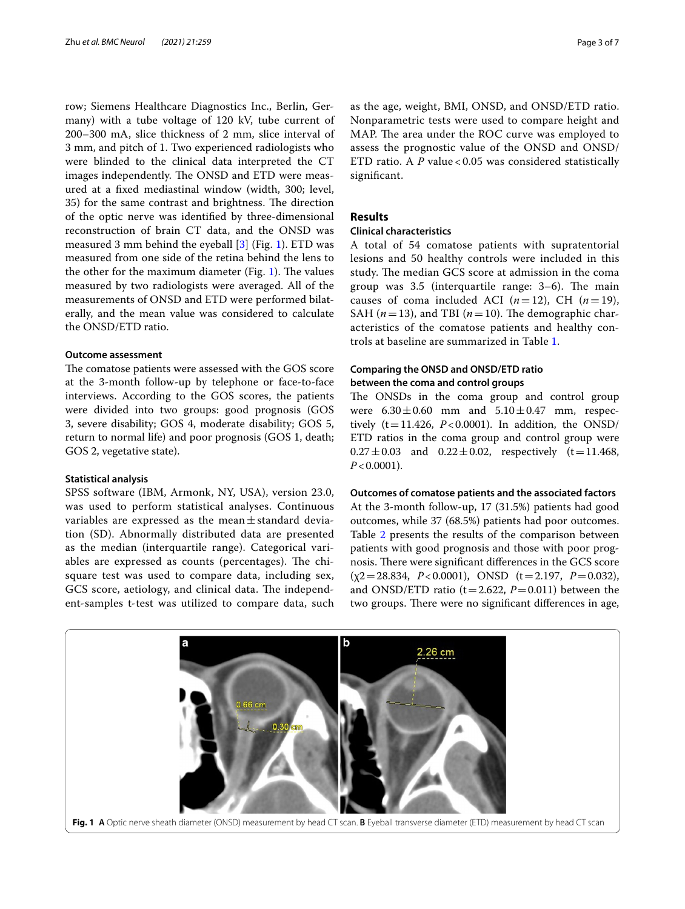row; Siemens Healthcare Diagnostics Inc., Berlin, Germany) with a tube voltage of 120 kV, tube current of 200–300 mA, slice thickness of 2 mm, slice interval of 3 mm, and pitch of 1. Two experienced radiologists who were blinded to the clinical data interpreted the CT images independently. The ONSD and ETD were measured at a fxed mediastinal window (width, 300; level, 35) for the same contrast and brightness. The direction of the optic nerve was identifed by three-dimensional reconstruction of brain CT data, and the ONSD was measured 3 mm behind the eyeball [\[3](#page-6-2)] (Fig. [1\)](#page-2-0). ETD was measured from one side of the retina behind the lens to the other for the maximum diameter (Fig. [1\)](#page-2-0). The values measured by two radiologists were averaged. All of the measurements of ONSD and ETD were performed bilaterally, and the mean value was considered to calculate the ONSD/ETD ratio.

#### **Outcome assessment**

The comatose patients were assessed with the GOS score at the 3-month follow-up by telephone or face-to-face interviews. According to the GOS scores, the patients were divided into two groups: good prognosis (GOS 3, severe disability; GOS 4, moderate disability; GOS 5, return to normal life) and poor prognosis (GOS 1, death; GOS 2, vegetative state).

#### **Statistical analysis**

SPSS software (IBM, Armonk, NY, USA), version 23.0, was used to perform statistical analyses. Continuous variables are expressed as the mean $\pm$ standard deviation (SD). Abnormally distributed data are presented as the median (interquartile range). Categorical variables are expressed as counts (percentages). The chisquare test was used to compare data, including sex, GCS score, aetiology, and clinical data. The independent-samples t-test was utilized to compare data, such as the age, weight, BMI, ONSD, and ONSD/ETD ratio. Nonparametric tests were used to compare height and MAP. The area under the ROC curve was employed to assess the prognostic value of the ONSD and ONSD/ ETD ratio. A *P* value < 0.05 was considered statistically signifcant.

#### **Results**

#### **Clinical characteristics**

A total of 54 comatose patients with supratentorial lesions and 50 healthy controls were included in this study. The median GCS score at admission in the coma group was  $3.5$  (interquartile range:  $3-6$ ). The main causes of coma included ACI  $(n=12)$ , CH  $(n=19)$ , SAH ( $n=13$ ), and TBI ( $n=10$ ). The demographic characteristics of the comatose patients and healthy controls at baseline are summarized in Table [1.](#page-3-0)

# **Comparing the ONSD and ONSD/ETD ratio**

## **between the coma and control groups**

The ONSDs in the coma group and control group were  $6.30 \pm 0.60$  mm and  $5.10 \pm 0.47$  mm, respectively  $(t=11.426, P<0.0001)$ . In addition, the ONSD/ ETD ratios in the coma group and control group were  $0.27 \pm 0.03$  and  $0.22 \pm 0.02$ , respectively (t=11.468, *P*<0.0001).

#### **Outcomes of comatose patients and the associated factors**

At the 3-month follow-up, 17 (31.5%) patients had good outcomes, while 37 (68.5%) patients had poor outcomes. Table [2](#page-3-1) presents the results of the comparison between patients with good prognosis and those with poor prognosis. There were significant differences in the GCS score (χ2=28.834, *P*<0.0001), ONSD (t=2.197, *P*=0.032), and ONSD/ETD ratio  $(t=2.622, P=0.011)$  between the two groups. There were no significant differences in age,

<span id="page-2-0"></span>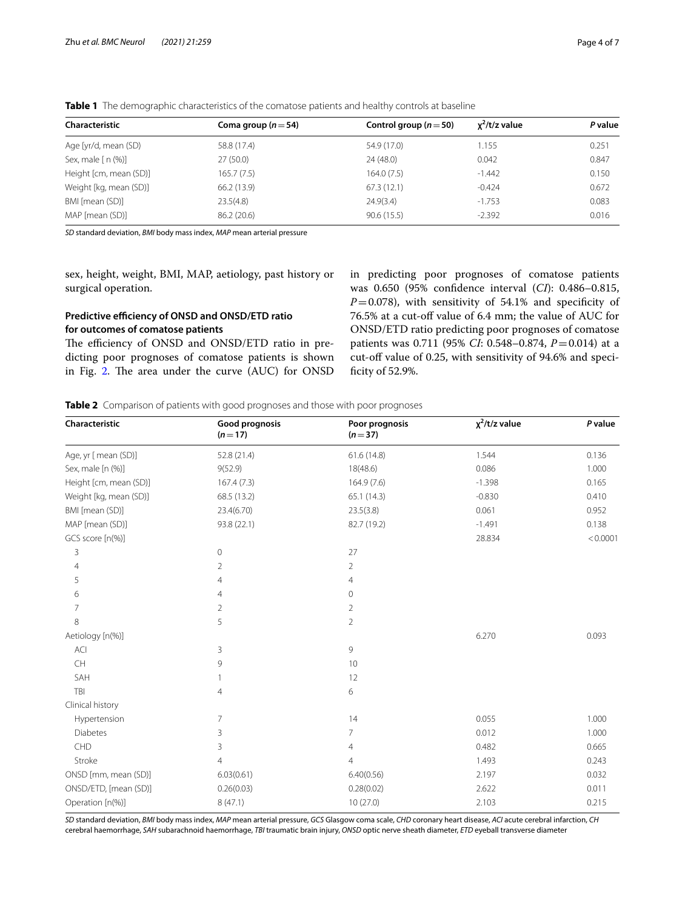| <b>Characteristic</b>                         | Coma group ( $n = 54$ ) | Control group ( $n = 50$ ) | $x^2/t/z$ value | P value |
|-----------------------------------------------|-------------------------|----------------------------|-----------------|---------|
| Age [yr/d, mean (SD)                          | 58.8 (17.4)             | 54.9 (17.0)                | 1.155           | 0.251   |
| Sex, male $\lceil n \cdot \frac{1}{2} \rceil$ | 27(50.0)                | 24 (48.0)                  | 0.042           | 0.847   |
| Height [cm, mean (SD)]                        | 165.7 (7.5)             | 164.0(7.5)                 | $-1.442$        | 0.150   |
| Weight [kg, mean (SD)]                        | 66.2 (13.9)             | 67.3(12.1)                 | $-0.424$        | 0.672   |
| BMI [mean (SD)]                               | 23.5(4.8)               | 24.9(3.4)                  | $-1.753$        | 0.083   |
| MAP [mean (SD)]                               | 86.2 (20.6)             | 90.6(15.5)                 | $-2.392$        | 0.016   |
|                                               |                         |                            |                 |         |

<span id="page-3-0"></span>**Table 1** The demographic characteristics of the comatose patients and healthy controls at baseline

*SD* standard deviation, *BMI* body mass index, *MAP* mean arterial pressure

sex, height, weight, BMI, MAP, aetiology, past history or surgical operation.

### **Predictive efficiency of ONSD and ONSD/ETD ratio for outcomes of comatose patients**

The efficiency of ONSD and ONSD/ETD ratio in predicting poor prognoses of comatose patients is shown in Fig. [2](#page-4-0). The area under the curve  $(AUC)$  for  $ONSD$  in predicting poor prognoses of comatose patients was 0.650 (95% confdence interval (*CI*): 0.486–0.815,  $P=0.078$ ), with sensitivity of 54.1% and specificity of 76.5% at a cut-off value of 6.4 mm; the value of AUC for ONSD/ETD ratio predicting poor prognoses of comatose patients was 0.711 (95% *CI*: 0.548–0.874, *P*=0.014) at a cut-off value of 0.25, with sensitivity of 94.6% and specificity of 52.9%.

<span id="page-3-1"></span>**Table 2** Comparison of patients with good prognoses and those with poor prognoses

| Characteristic         | Good prognosis<br>$(n=17)$ | Poor prognosis<br>$(n=37)$ | $x^2/t/z$ value | P value  |
|------------------------|----------------------------|----------------------------|-----------------|----------|
| Age, yr [ mean (SD)]   | 52.8 (21.4)                | 61.6(14.8)                 | 1.544           | 0.136    |
| Sex, male [n (%)]      | 9(52.9)                    | 18(48.6)                   | 0.086           | 1.000    |
| Height [cm, mean (SD)] | 167.4(7.3)                 | 164.9 (7.6)                | $-1.398$        | 0.165    |
| Weight [kg, mean (SD)] | 68.5 (13.2)                | 65.1 (14.3)                | $-0.830$        | 0.410    |
| BMI [mean (SD)]        | 23.4(6.70)                 | 23.5(3.8)                  | 0.061           | 0.952    |
| MAP [mean (SD)]        | 93.8 (22.1)                | 82.7 (19.2)                | $-1.491$        | 0.138    |
| GCS score [n(%)]       |                            |                            | 28.834          | < 0.0001 |
| 3                      | 0                          | 27                         |                 |          |
| $\overline{4}$         | 2                          | $\overline{2}$             |                 |          |
| 5                      | 4                          | 4                          |                 |          |
| 6                      | 4                          | $\mathbf 0$                |                 |          |
| 7                      | $\overline{2}$             | $\overline{2}$             |                 |          |
| 8                      | 5                          | $\overline{2}$             |                 |          |
| Aetiology [n(%)]       |                            |                            | 6.270           | 0.093    |
| <b>ACI</b>             | 3                          | 9                          |                 |          |
| <b>CH</b>              | 9                          | 10                         |                 |          |
| SAH                    |                            | 12                         |                 |          |
| TBI                    | 4                          | 6                          |                 |          |
| Clinical history       |                            |                            |                 |          |
| Hypertension           | 7                          | 14                         | 0.055           | 1.000    |
| <b>Diabetes</b>        | 3                          | 7                          | 0.012           | 1.000    |
| CHD                    | 3                          | 4                          | 0.482           | 0.665    |
| Stroke                 | $\overline{4}$             | $\overline{4}$             | 1.493           | 0.243    |
| ONSD [mm, mean (SD)]   | 6.03(0.61)                 | 6.40(0.56)                 | 2.197           | 0.032    |
| ONSD/ETD, [mean (SD)]  | 0.26(0.03)                 | 0.28(0.02)                 | 2.622           | 0.011    |
| Operation [n(%)]       | 8(47.1)                    | 10 (27.0)                  | 2.103           | 0.215    |

*SD* standard deviation, *BMI* body mass index, *MAP* mean arterial pressure, *GCS* Glasgow coma scale, *CHD* coronary heart disease, *ACI* acute cerebral infarction, *CH* cerebral haemorrhage, *SAH* subarachnoid haemorrhage, *TBI* traumatic brain injury, *ONSD* optic nerve sheath diameter, *ETD* eyeball transverse diameter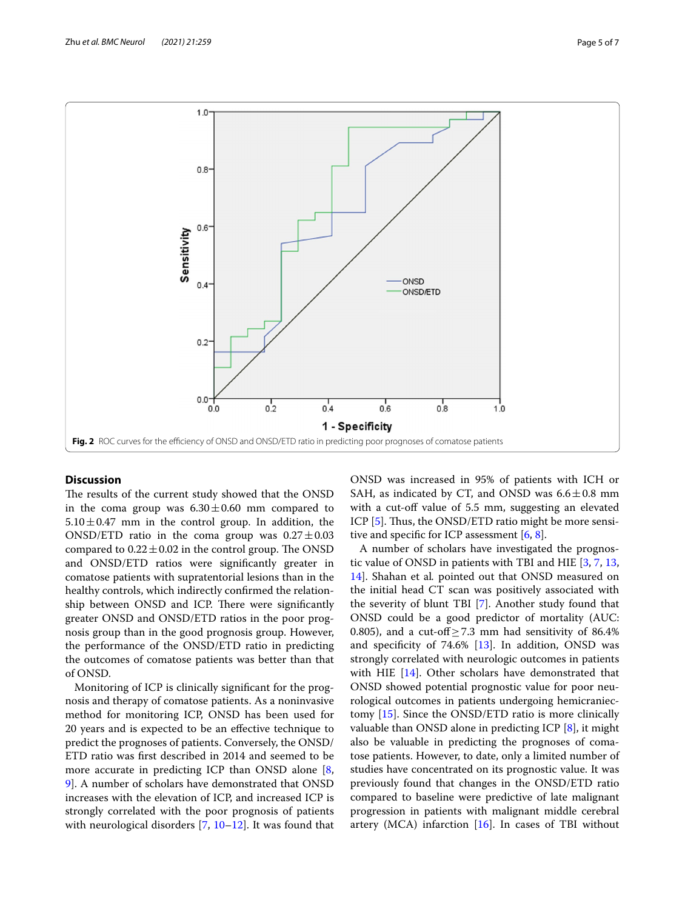

#### <span id="page-4-0"></span>**Discussion**

The results of the current study showed that the ONSD in the coma group was  $6.30 \pm 0.60$  mm compared to  $5.10 \pm 0.47$  mm in the control group. In addition, the ONSD/ETD ratio in the coma group was  $0.27 \pm 0.03$ compared to  $0.22 \pm 0.02$  in the control group. The ONSD and ONSD/ETD ratios were signifcantly greater in comatose patients with supratentorial lesions than in the healthy controls, which indirectly confirmed the relationship between ONSD and ICP. There were significantly greater ONSD and ONSD/ETD ratios in the poor prognosis group than in the good prognosis group. However, the performance of the ONSD/ETD ratio in predicting the outcomes of comatose patients was better than that of ONSD.

Monitoring of ICP is clinically signifcant for the prognosis and therapy of comatose patients. As a noninvasive method for monitoring ICP, ONSD has been used for 20 years and is expected to be an efective technique to predict the prognoses of patients. Conversely, the ONSD/ ETD ratio was frst described in 2014 and seemed to be more accurate in predicting ICP than ONSD alone [\[8](#page-6-6), [9\]](#page-6-7). A number of scholars have demonstrated that ONSD increases with the elevation of ICP, and increased ICP is strongly correlated with the poor prognosis of patients with neurological disorders [[7,](#page-6-5) [10–](#page-6-8)[12](#page-6-9)]. It was found that ONSD was increased in 95% of patients with ICH or SAH, as indicated by CT, and ONSD was  $6.6 \pm 0.8$  mm with a cut-off value of 5.5 mm, suggesting an elevated ICP  $[5]$  $[5]$ . Thus, the ONSD/ETD ratio might be more sensitive and specifc for ICP assessment [[6,](#page-6-3) [8](#page-6-6)].

A number of scholars have investigated the prognostic value of ONSD in patients with TBI and HIE [\[3](#page-6-2), [7,](#page-6-5) [13](#page-6-10), [14\]](#page-6-11). Shahan et al*.* pointed out that ONSD measured on the initial head CT scan was positively associated with the severity of blunt TBI [[7\]](#page-6-5). Another study found that ONSD could be a good predictor of mortality (AUC: 0.805), and a cut-off $\geq$  7.3 mm had sensitivity of 86.4% and specificity of  $74.6\%$  [[13\]](#page-6-10). In addition, ONSD was strongly correlated with neurologic outcomes in patients with HIE [\[14](#page-6-11)]. Other scholars have demonstrated that ONSD showed potential prognostic value for poor neurological outcomes in patients undergoing hemicraniectomy [\[15\]](#page-6-12). Since the ONSD/ETD ratio is more clinically valuable than ONSD alone in predicting ICP [\[8](#page-6-6)], it might also be valuable in predicting the prognoses of comatose patients. However, to date, only a limited number of studies have concentrated on its prognostic value. It was previously found that changes in the ONSD/ETD ratio compared to baseline were predictive of late malignant progression in patients with malignant middle cerebral artery (MCA) infarction  $[16]$  $[16]$ . In cases of TBI without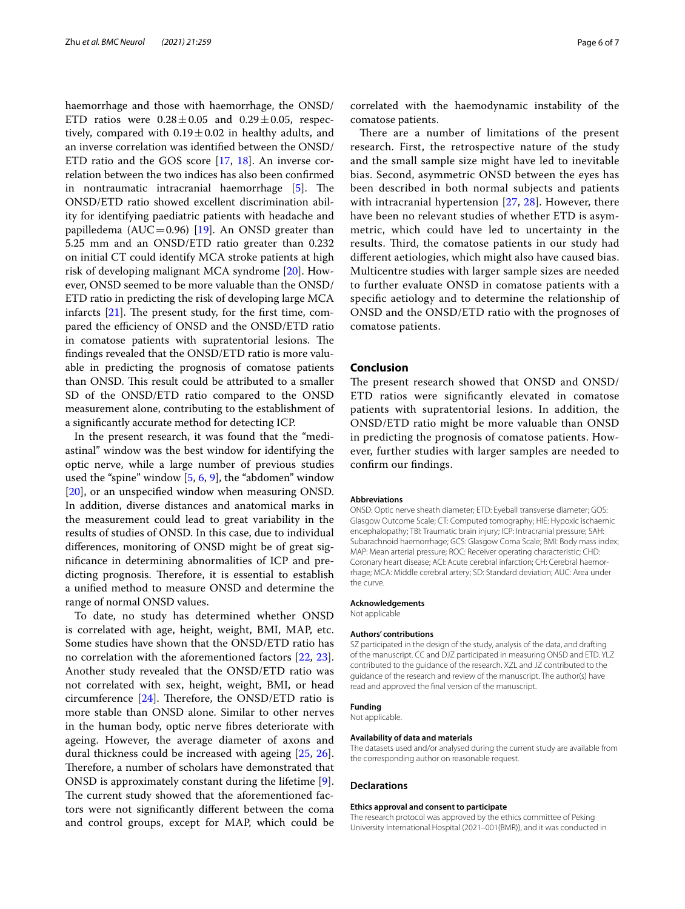haemorrhage and those with haemorrhage, the ONSD/ ETD ratios were  $0.28 \pm 0.05$  and  $0.29 \pm 0.05$ , respectively, compared with  $0.19 \pm 0.02$  in healthy adults, and an inverse correlation was identifed between the ONSD/ ETD ratio and the GOS score [\[17](#page-6-14), [18](#page-6-15)]. An inverse correlation between the two indices has also been confrmed in nontraumatic intracranial haemorrhage  $[5]$  $[5]$ . The ONSD/ETD ratio showed excellent discrimination ability for identifying paediatric patients with headache and papilledema (AUC=0.96) [[19\]](#page-6-16). An ONSD greater than 5.25 mm and an ONSD/ETD ratio greater than 0.232 on initial CT could identify MCA stroke patients at high risk of developing malignant MCA syndrome [\[20](#page-6-17)]. However, ONSD seemed to be more valuable than the ONSD/ ETD ratio in predicting the risk of developing large MCA infarcts  $[21]$  $[21]$ . The present study, for the first time, compared the efficiency of ONSD and the ONSD/ETD ratio in comatose patients with supratentorial lesions. The fndings revealed that the ONSD/ETD ratio is more valuable in predicting the prognosis of comatose patients than ONSD. This result could be attributed to a smaller SD of the ONSD/ETD ratio compared to the ONSD measurement alone, contributing to the establishment of a signifcantly accurate method for detecting ICP.

In the present research, it was found that the "mediastinal" window was the best window for identifying the optic nerve, while a large number of previous studies used the "spine" window [\[5,](#page-6-4) [6,](#page-6-3) [9](#page-6-7)], the "abdomen" window [[20\]](#page-6-17), or an unspecifed window when measuring ONSD. In addition, diverse distances and anatomical marks in the measurement could lead to great variability in the results of studies of ONSD. In this case, due to individual diferences, monitoring of ONSD might be of great signifcance in determining abnormalities of ICP and predicting prognosis. Therefore, it is essential to establish a unifed method to measure ONSD and determine the range of normal ONSD values.

To date, no study has determined whether ONSD is correlated with age, height, weight, BMI, MAP, etc. Some studies have shown that the ONSD/ETD ratio has no correlation with the aforementioned factors [[22,](#page-6-19) [23](#page-6-20)]. Another study revealed that the ONSD/ETD ratio was not correlated with sex, height, weight, BMI, or head circumference  $[24]$  $[24]$ . Therefore, the ONSD/ETD ratio is more stable than ONSD alone. Similar to other nerves in the human body, optic nerve fbres deteriorate with ageing. However, the average diameter of axons and dural thickness could be increased with ageing [[25,](#page-6-22) [26](#page-6-23)]. Therefore, a number of scholars have demonstrated that ONSD is approximately constant during the lifetime [\[9](#page-6-7)]. The current study showed that the aforementioned factors were not signifcantly diferent between the coma and control groups, except for MAP, which could be

correlated with the haemodynamic instability of the comatose patients.

There are a number of limitations of the present research. First, the retrospective nature of the study and the small sample size might have led to inevitable bias. Second, asymmetric ONSD between the eyes has been described in both normal subjects and patients with intracranial hypertension [[27](#page-6-24), [28\]](#page-6-25). However, there have been no relevant studies of whether ETD is asymmetric, which could have led to uncertainty in the results. Third, the comatose patients in our study had diferent aetiologies, which might also have caused bias. Multicentre studies with larger sample sizes are needed to further evaluate ONSD in comatose patients with a specifc aetiology and to determine the relationship of ONSD and the ONSD/ETD ratio with the prognoses of comatose patients.

#### **Conclusion**

The present research showed that ONSD and ONSD/ ETD ratios were signifcantly elevated in comatose patients with supratentorial lesions. In addition, the ONSD/ETD ratio might be more valuable than ONSD in predicting the prognosis of comatose patients. However, further studies with larger samples are needed to confrm our fndings.

#### **Abbreviations**

ONSD: Optic nerve sheath diameter; ETD: Eyeball transverse diameter; GOS: Glasgow Outcome Scale; CT: Computed tomography; HIE: Hypoxic ischaemic encephalopathy; TBI: Traumatic brain injury; ICP: Intracranial pressure; SAH: Subarachnoid haemorrhage; GCS: Glasgow Coma Scale; BMI: Body mass index; MAP: Mean arterial pressure; ROC: Receiver operating characteristic; CHD: Coronary heart disease; ACI: Acute cerebral infarction; CH: Cerebral haemorrhage; MCA: Middle cerebral artery; SD: Standard deviation; AUC: Area under the curve.

#### **Acknowledgements**

Not applicable

#### **Authors' contributions**

SZ participated in the design of the study, analysis of the data, and drafting of the manuscript. CC and DJZ participated in measuring ONSD and ETD. YLZ contributed to the guidance of the research. XZL and JZ contributed to the guidance of the research and review of the manuscript. The author(s) have read and approved the fnal version of the manuscript.

#### **Funding**

Not applicable.

#### **Availability of data and materials**

The datasets used and/or analysed during the current study are available from the corresponding author on reasonable request.

#### **Declarations**

#### **Ethics approval and consent to participate**

The research protocol was approved by the ethics committee of Peking University International Hospital (2021–001(BMR)), and it was conducted in